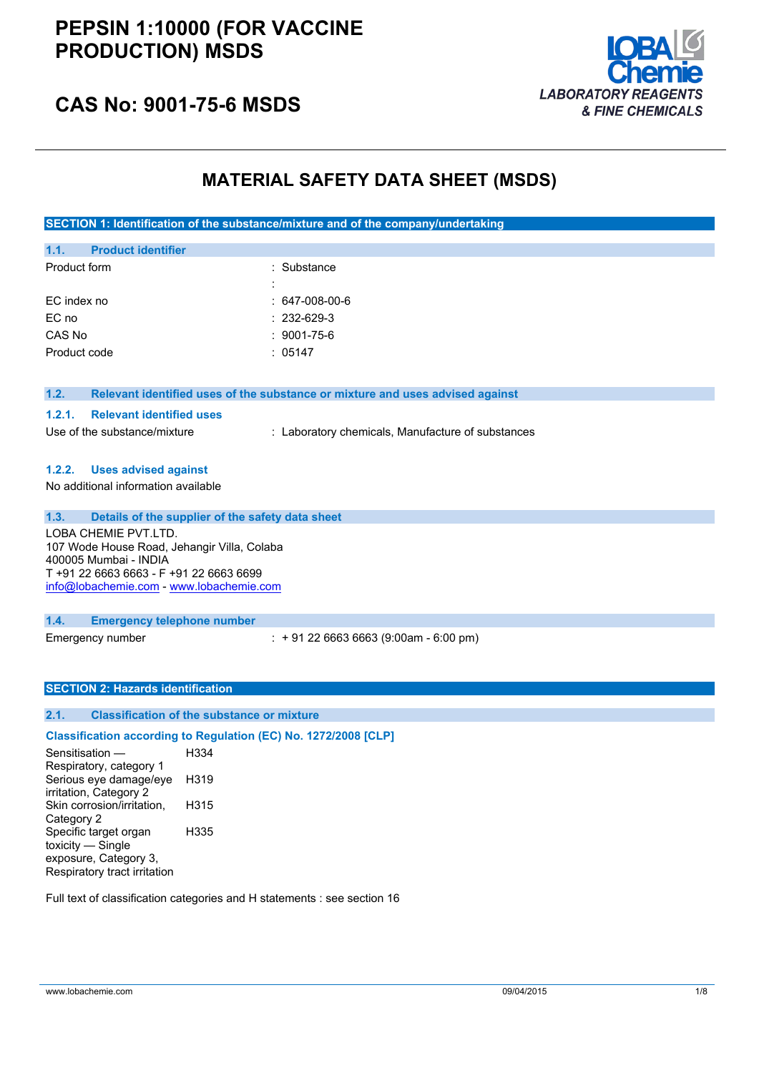# **PEPSIN 1:10000 (FOR VACCINE PRODUCTION) MSDS**



# **CAS No: 9001-75-6 MSDS**

# **MATERIAL SAFETY DATA SHEET (MSDS)**

**SECTION 1: Identification of the substance/mixture and of the company/undertaking**

| 1.1.         | <b>Product identifier</b> |                   |
|--------------|---------------------------|-------------------|
| Product form |                           | : Substance       |
|              |                           |                   |
|              | EC index no               | $: 647-008-00-6$  |
| EC no        |                           | $: 232 - 629 - 3$ |
| CAS No       |                           | $: 9001 - 75 - 6$ |
|              | Product code              | : $05147$         |
|              |                           |                   |

#### **1.2. Relevant identified uses of the substance or mixture and uses advised against**

#### **1.2.1. Relevant identified uses**

Use of the substance/mixture : Laboratory chemicals, Manufacture of substances

### **1.2.2. Uses advised against**

No additional information available

## **1.3. Details of the supplier of the safety data sheet**

LOBA CHEMIE PVT.LTD. 107 Wode House Road, Jehangir Villa, Colaba 400005 Mumbai - INDIA T +91 22 6663 6663 - F +91 22 6663 6699 [info@lobachemie.com](mailto:info@lobachemie.com) - <www.lobachemie.com>

#### **1.4. Emergency telephone number**

Emergency number : + 91 22 6663 6663 (9:00am - 6:00 pm)

### **SECTION 2: Hazards identification**

### **2.1. Classification of the substance or mixture**

### **Classification according to Regulation (EC) No. 1272/2008 [CLP]**

Sensitisation — Respiratory, category 1 H334 Serious eye damage/eye irritation, Category 2 H319 Skin corrosion/irritation, Category 2 H315 Specific target organ toxicity — Single exposure, Category 3, Respiratory tract irritation H335

Full text of classification categories and H statements : see section 16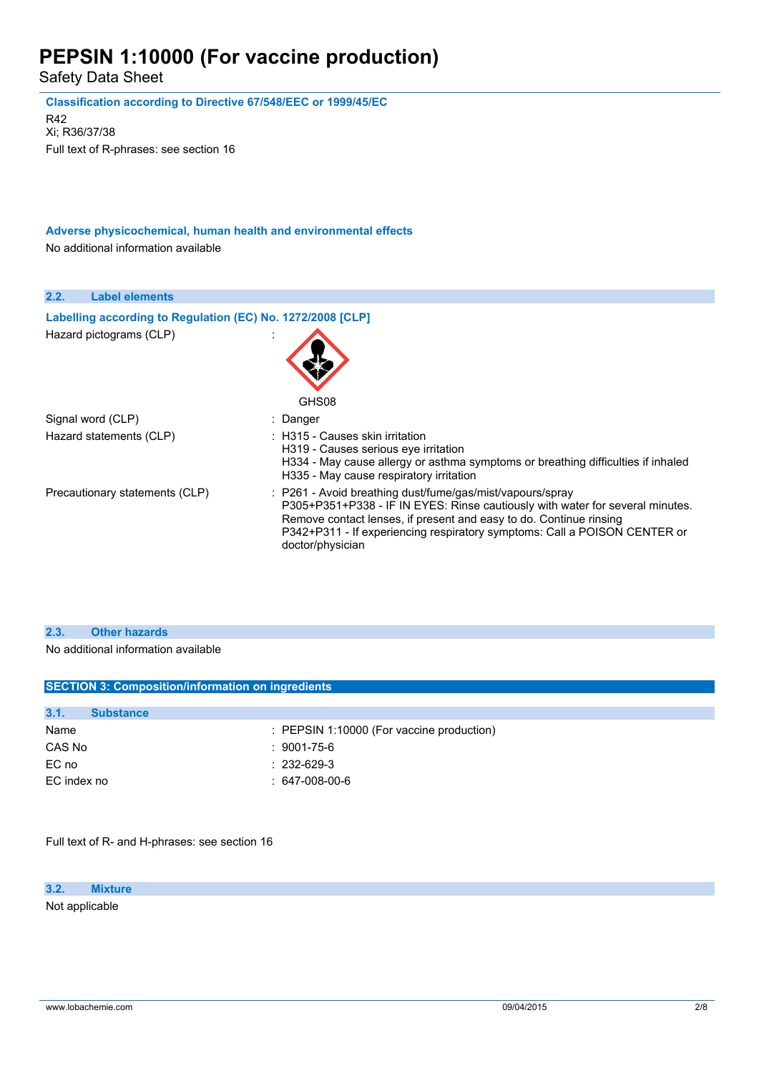Safety Data Sheet

| Classification according to Directive 67/548/EEC or 1999/45/EC<br>R42<br>Xi; R36/37/38<br>Full text of R-phrases: see section 16 |                                                                                                                                                                                                                                                                                                                   |
|----------------------------------------------------------------------------------------------------------------------------------|-------------------------------------------------------------------------------------------------------------------------------------------------------------------------------------------------------------------------------------------------------------------------------------------------------------------|
| Adverse physicochemical, human health and environmental effects<br>No additional information available                           |                                                                                                                                                                                                                                                                                                                   |
| 2.2.<br><b>Label elements</b>                                                                                                    |                                                                                                                                                                                                                                                                                                                   |
| Labelling according to Regulation (EC) No. 1272/2008 [CLP]<br>Hazard pictograms (CLP)                                            | GHS08                                                                                                                                                                                                                                                                                                             |
| Signal word (CLP)                                                                                                                | Danger                                                                                                                                                                                                                                                                                                            |
| Hazard statements (CLP)                                                                                                          | : H315 - Causes skin irritation<br>H319 - Causes serious eye irritation<br>H334 - May cause allergy or asthma symptoms or breathing difficulties if inhaled<br>H335 - May cause respiratory irritation                                                                                                            |
| Precautionary statements (CLP)                                                                                                   | : P261 - Avoid breathing dust/fume/gas/mist/vapours/spray<br>P305+P351+P338 - IF IN EYES: Rinse cautiously with water for several minutes.<br>Remove contact lenses, if present and easy to do. Continue rinsing<br>P342+P311 - If experiencing respiratory symptoms: Call a POISON CENTER or<br>doctor/physician |

## **2.3. Other hazards**

No additional information available

| 3.1.<br><b>Substance</b> |                                                      |
|--------------------------|------------------------------------------------------|
| Name                     | $\therefore$ PEPSIN 1:10000 (For vaccine production) |
| CAS No                   | $:9001$ -75-6                                        |
| EC no                    | $: 232 - 629 - 3$                                    |
| EC index no              | $: 647-008-00-6$                                     |

Full text of R- and H-phrases: see section 16

**3.2. Mixture**

Not applicable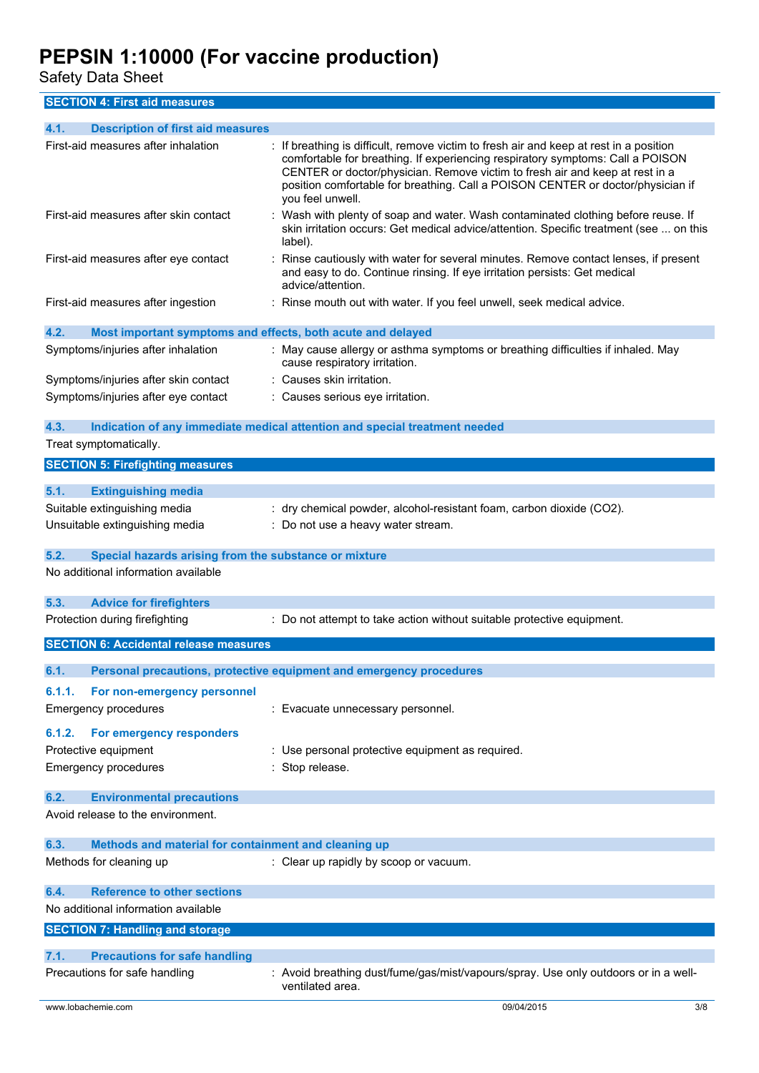Safety Data Sheet

**SECTION 4: First aid measures**

| <b>Description of first aid measures</b><br>4.1.                    |                                                                                                                                                                                                                                                                                                                                                               |
|---------------------------------------------------------------------|---------------------------------------------------------------------------------------------------------------------------------------------------------------------------------------------------------------------------------------------------------------------------------------------------------------------------------------------------------------|
| First-aid measures after inhalation                                 | If breathing is difficult, remove victim to fresh air and keep at rest in a position<br>comfortable for breathing. If experiencing respiratory symptoms: Call a POISON<br>CENTER or doctor/physician. Remove victim to fresh air and keep at rest in a<br>position comfortable for breathing. Call a POISON CENTER or doctor/physician if<br>you feel unwell. |
| First-aid measures after skin contact                               | Wash with plenty of soap and water. Wash contaminated clothing before reuse. If<br>skin irritation occurs: Get medical advice/attention. Specific treatment (see  on this<br>label).                                                                                                                                                                          |
| First-aid measures after eye contact                                | Rinse cautiously with water for several minutes. Remove contact lenses, if present<br>and easy to do. Continue rinsing. If eye irritation persists: Get medical<br>advice/attention.                                                                                                                                                                          |
| First-aid measures after ingestion                                  | : Rinse mouth out with water. If you feel unwell, seek medical advice.                                                                                                                                                                                                                                                                                        |
| 4.2.<br>Most important symptoms and effects, both acute and delayed |                                                                                                                                                                                                                                                                                                                                                               |
| Symptoms/injuries after inhalation                                  | : May cause allergy or asthma symptoms or breathing difficulties if inhaled. May<br>cause respiratory irritation.                                                                                                                                                                                                                                             |
| Symptoms/injuries after skin contact                                | : Causes skin irritation.                                                                                                                                                                                                                                                                                                                                     |
| Symptoms/injuries after eye contact                                 | : Causes serious eye irritation.                                                                                                                                                                                                                                                                                                                              |
| 4.3.<br>Treat symptomatically.                                      | Indication of any immediate medical attention and special treatment needed                                                                                                                                                                                                                                                                                    |
|                                                                     |                                                                                                                                                                                                                                                                                                                                                               |
| <b>SECTION 5: Firefighting measures</b>                             |                                                                                                                                                                                                                                                                                                                                                               |
| 5.1.<br><b>Extinguishing media</b>                                  |                                                                                                                                                                                                                                                                                                                                                               |
| Suitable extinguishing media                                        | : dry chemical powder, alcohol-resistant foam, carbon dioxide (CO2).                                                                                                                                                                                                                                                                                          |
| Unsuitable extinguishing media                                      | : Do not use a heavy water stream.                                                                                                                                                                                                                                                                                                                            |
| Special hazards arising from the substance or mixture<br>5.2.       |                                                                                                                                                                                                                                                                                                                                                               |
| No additional information available                                 |                                                                                                                                                                                                                                                                                                                                                               |
|                                                                     |                                                                                                                                                                                                                                                                                                                                                               |
| 5.3.<br><b>Advice for firefighters</b>                              |                                                                                                                                                                                                                                                                                                                                                               |
| Protection during firefighting                                      | : Do not attempt to take action without suitable protective equipment.                                                                                                                                                                                                                                                                                        |
| <b>SECTION 6: Accidental release measures</b>                       |                                                                                                                                                                                                                                                                                                                                                               |
| 6.1.                                                                | Personal precautions, protective equipment and emergency procedures                                                                                                                                                                                                                                                                                           |
| 6.1.1.<br>For non-emergency personnel                               |                                                                                                                                                                                                                                                                                                                                                               |
| <b>Emergency procedures</b>                                         | Evacuate unnecessary personnel.                                                                                                                                                                                                                                                                                                                               |
|                                                                     |                                                                                                                                                                                                                                                                                                                                                               |
| For emergency responders<br>6.1.2.                                  |                                                                                                                                                                                                                                                                                                                                                               |
| Protective equipment                                                | : Use personal protective equipment as required.                                                                                                                                                                                                                                                                                                              |
| <b>Emergency procedures</b>                                         | Stop release.                                                                                                                                                                                                                                                                                                                                                 |
| 6.2.<br><b>Environmental precautions</b>                            |                                                                                                                                                                                                                                                                                                                                                               |
| Avoid release to the environment.                                   |                                                                                                                                                                                                                                                                                                                                                               |
| 6.3.<br>Methods and material for containment and cleaning up        |                                                                                                                                                                                                                                                                                                                                                               |
| Methods for cleaning up                                             | : Clear up rapidly by scoop or vacuum.                                                                                                                                                                                                                                                                                                                        |
| <b>Reference to other sections</b><br>6.4.                          |                                                                                                                                                                                                                                                                                                                                                               |
| No additional information available                                 |                                                                                                                                                                                                                                                                                                                                                               |
| <b>SECTION 7: Handling and storage</b>                              |                                                                                                                                                                                                                                                                                                                                                               |
| 7.1.<br><b>Precautions for safe handling</b>                        |                                                                                                                                                                                                                                                                                                                                                               |
| Precautions for safe handling                                       | Avoid breathing dust/fume/gas/mist/vapours/spray. Use only outdoors or in a well-<br>ventilated area.                                                                                                                                                                                                                                                         |
| www.lobachemie.com                                                  | 09/04/2015<br>3/8                                                                                                                                                                                                                                                                                                                                             |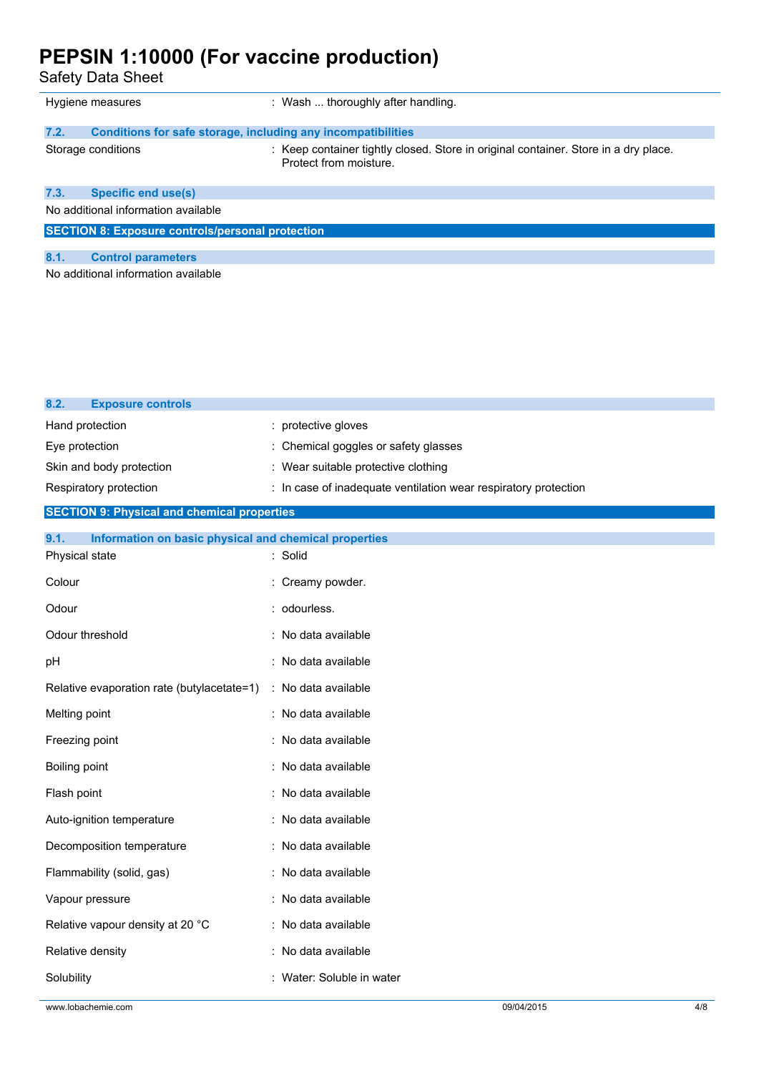Safety Data Sheet

**8.2. Exposure controls**

|                                     | Hygiene measures                                             | : Wash  thoroughly after handling.                                                                            |
|-------------------------------------|--------------------------------------------------------------|---------------------------------------------------------------------------------------------------------------|
| 7.2.                                | Conditions for safe storage, including any incompatibilities |                                                                                                               |
|                                     | Storage conditions                                           | : Keep container tightly closed. Store in original container. Store in a dry place.<br>Protect from moisture. |
| 7.3.                                | <b>Specific end use(s)</b>                                   |                                                                                                               |
| No additional information available |                                                              |                                                                                                               |
|                                     | <b>SECTION 8: Exposure controls/personal protection</b>      |                                                                                                               |
| 8.1.                                | <b>Control parameters</b>                                    |                                                                                                               |
| No additional information available |                                                              |                                                                                                               |

| Hand protection                                               | : protective gloves                                             |
|---------------------------------------------------------------|-----------------------------------------------------------------|
| Eye protection                                                | : Chemical goggles or safety glasses                            |
| Skin and body protection                                      | : Wear suitable protective clothing                             |
| Respiratory protection                                        | : In case of inadequate ventilation wear respiratory protection |
| <b>SECTION 9: Physical and chemical properties</b>            |                                                                 |
| 9.1.<br>Information on basic physical and chemical properties |                                                                 |
| Physical state                                                | : Solid                                                         |
| Colour                                                        | : Creamy powder.                                                |
| Odour                                                         | : odourless.                                                    |
| Odour threshold                                               | : No data available                                             |
| pH                                                            | : No data available                                             |
| Relative evaporation rate (butylacetate=1)                    | : No data available                                             |
| Melting point                                                 | : No data available                                             |
| Freezing point                                                | : No data available                                             |
| Boiling point                                                 | : No data available                                             |
| Flash point                                                   | : No data available                                             |
| Auto-ignition temperature                                     | : No data available                                             |
| Decomposition temperature                                     | : No data available                                             |
| Flammability (solid, gas)                                     | : No data available                                             |
| Vapour pressure                                               | : No data available                                             |
| Relative vapour density at 20 °C                              | : No data available                                             |
| Relative density                                              | : No data available                                             |
| Solubility                                                    | : Water: Soluble in water                                       |
|                                                               |                                                                 |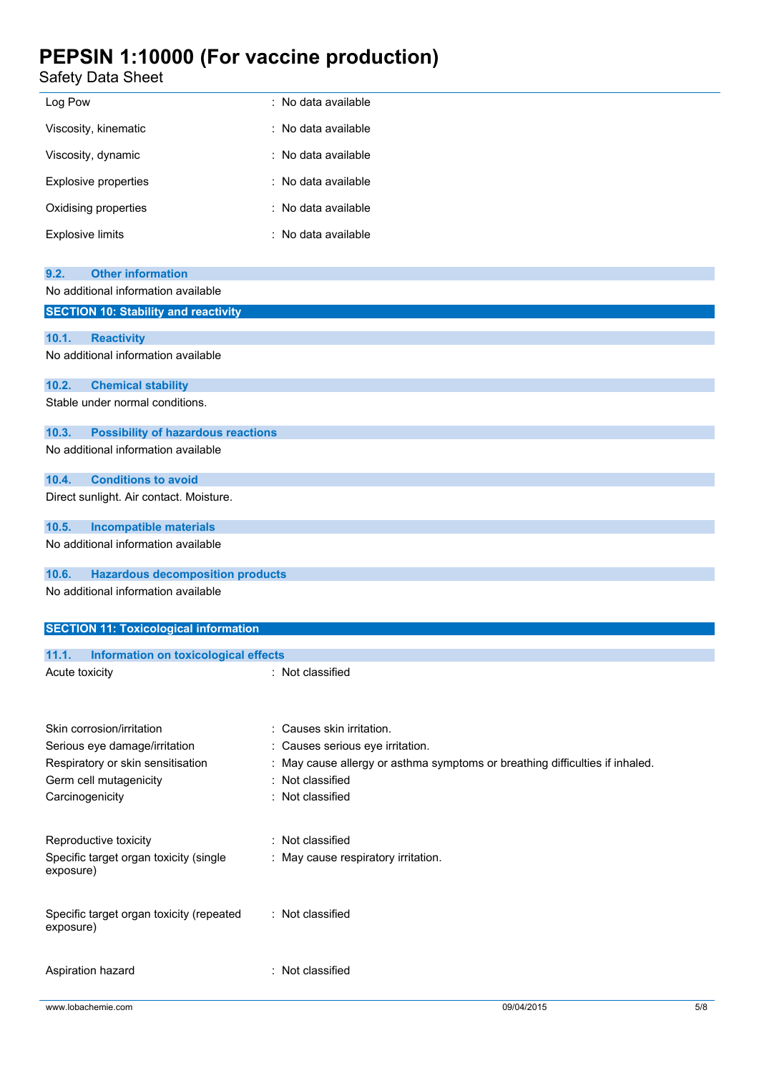Safety Data Sheet

| <b>Safety Data Sheet</b>                                               |                                                                                                                |
|------------------------------------------------------------------------|----------------------------------------------------------------------------------------------------------------|
| Log Pow                                                                | : No data available                                                                                            |
| Viscosity, kinematic                                                   | : No data available                                                                                            |
| Viscosity, dynamic                                                     | : No data available                                                                                            |
| <b>Explosive properties</b>                                            | : No data available                                                                                            |
| Oxidising properties                                                   | : No data available                                                                                            |
| <b>Explosive limits</b>                                                | : No data available                                                                                            |
| <b>Other information</b><br>9.2.                                       |                                                                                                                |
| No additional information available                                    |                                                                                                                |
| <b>SECTION 10: Stability and reactivity</b>                            |                                                                                                                |
| 10.1.<br><b>Reactivity</b>                                             |                                                                                                                |
| No additional information available                                    |                                                                                                                |
| 10.2.<br><b>Chemical stability</b>                                     |                                                                                                                |
| Stable under normal conditions.                                        |                                                                                                                |
| 10.3.<br><b>Possibility of hazardous reactions</b>                     |                                                                                                                |
| No additional information available                                    |                                                                                                                |
| <b>Conditions to avoid</b><br>10.4.                                    |                                                                                                                |
| Direct sunlight. Air contact. Moisture.                                |                                                                                                                |
| 10.5.<br><b>Incompatible materials</b>                                 |                                                                                                                |
| No additional information available                                    |                                                                                                                |
| <b>Hazardous decomposition products</b><br>10.6.                       |                                                                                                                |
| No additional information available                                    |                                                                                                                |
| <b>SECTION 11: Toxicological information</b>                           |                                                                                                                |
|                                                                        |                                                                                                                |
| 11.1.<br><b>Information on toxicological effects</b><br>Acute toxicity | : Not classified                                                                                               |
|                                                                        |                                                                                                                |
|                                                                        |                                                                                                                |
| Skin corrosion/irritation                                              | : Causes skin irritation.                                                                                      |
| Serious eye damage/irritation<br>Respiratory or skin sensitisation     | Causes serious eye irritation.<br>: May cause allergy or asthma symptoms or breathing difficulties if inhaled. |
| Germ cell mutagenicity                                                 | : Not classified                                                                                               |
| Carcinogenicity                                                        | : Not classified                                                                                               |
|                                                                        |                                                                                                                |
| Reproductive toxicity                                                  | : Not classified                                                                                               |
| Specific target organ toxicity (single<br>exposure)                    | : May cause respiratory irritation.                                                                            |
| Specific target organ toxicity (repeated                               | : Not classified                                                                                               |
|                                                                        |                                                                                                                |

exposure)

Aspiration hazard : Not classified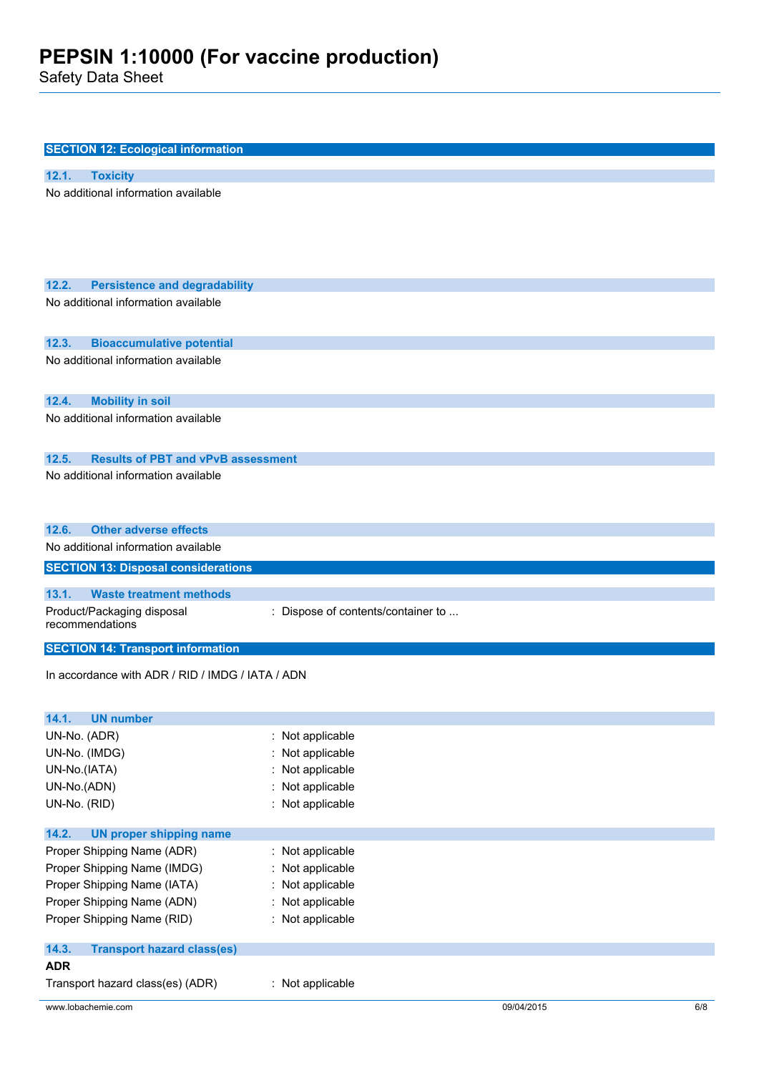Safety Data Sheet

| <b>SECTION 12: Ecological information</b>          |                                    |  |
|----------------------------------------------------|------------------------------------|--|
| 12.1.<br><b>Toxicity</b>                           |                                    |  |
| No additional information available                |                                    |  |
| 12.2.<br><b>Persistence and degradability</b>      |                                    |  |
| No additional information available                |                                    |  |
| 12.3.<br><b>Bioaccumulative potential</b>          |                                    |  |
| No additional information available                |                                    |  |
| 12.4.<br><b>Mobility in soil</b>                   |                                    |  |
| No additional information available                |                                    |  |
| <b>Results of PBT and vPvB assessment</b><br>12.5. |                                    |  |
| No additional information available                |                                    |  |
| <b>Other adverse effects</b><br>12.6.              |                                    |  |
| No additional information available                |                                    |  |
| <b>SECTION 13: Disposal considerations</b>         |                                    |  |
| <b>Waste treatment methods</b><br>13.1.            |                                    |  |
| Product/Packaging disposal<br>recommendations      | : Dispose of contents/container to |  |
| <b>SECTION 14: Transport information</b>           |                                    |  |
| In accordance with ADR / RID / IMDG / IATA / ADN   |                                    |  |
| 14.1.<br><b>UN number</b>                          |                                    |  |
| UN-No. (ADR)                                       | : Not applicable                   |  |
| UN-No. (IMDG)                                      | Not applicable                     |  |
| UN-No.(IATA)                                       | Not applicable                     |  |
| UN-No.(ADN)                                        | Not applicable                     |  |
| UN-No. (RID)                                       | : Not applicable                   |  |
| 14.2.<br><b>UN proper shipping name</b>            |                                    |  |
| Proper Shipping Name (ADR)                         | : Not applicable                   |  |
| Proper Shipping Name (IMDG)                        | Not applicable                     |  |
| Proper Shipping Name (IATA)                        | Not applicable                     |  |
| Proper Shipping Name (ADN)                         | Not applicable                     |  |
| Proper Shipping Name (RID)                         | : Not applicable                   |  |
| 14.3.<br><b>Transport hazard class(es)</b>         |                                    |  |
| <b>ADR</b>                                         |                                    |  |
|                                                    |                                    |  |
| Transport hazard class(es) (ADR)                   | : Not applicable                   |  |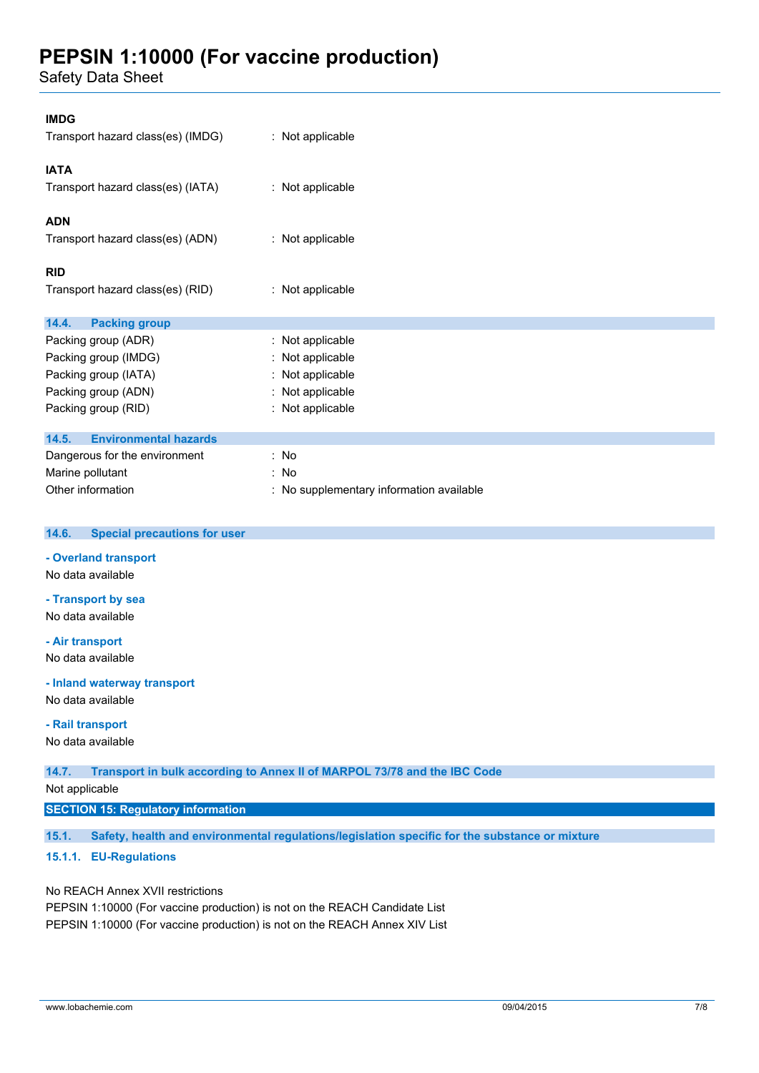Safety Data Sheet

| <b>IMDG</b><br>Transport hazard class(es) (IMDG)                                                                                                                                                                                                                      | : Not applicable                                                                                                                                           |  |
|-----------------------------------------------------------------------------------------------------------------------------------------------------------------------------------------------------------------------------------------------------------------------|------------------------------------------------------------------------------------------------------------------------------------------------------------|--|
| <b>IATA</b><br>Transport hazard class(es) (IATA)                                                                                                                                                                                                                      | : Not applicable                                                                                                                                           |  |
| <b>ADN</b><br>Transport hazard class(es) (ADN)                                                                                                                                                                                                                        | : Not applicable                                                                                                                                           |  |
| <b>RID</b><br>Transport hazard class(es) (RID)                                                                                                                                                                                                                        | : Not applicable                                                                                                                                           |  |
| 14.4.<br><b>Packing group</b><br>Packing group (ADR)<br>Packing group (IMDG)<br>Packing group (IATA)<br>Packing group (ADN)<br>Packing group (RID)<br>14.5.<br><b>Environmental hazards</b><br>Dangerous for the environment<br>Marine pollutant<br>Other information | : Not applicable<br>: Not applicable<br>Not applicable<br>: Not applicable<br>: Not applicable<br>: No<br>: No<br>: No supplementary information available |  |
| 14.6.<br><b>Special precautions for user</b>                                                                                                                                                                                                                          |                                                                                                                                                            |  |
| - Overland transport<br>No data available                                                                                                                                                                                                                             |                                                                                                                                                            |  |
| - Transport by sea<br>No data available                                                                                                                                                                                                                               |                                                                                                                                                            |  |
| - Air transport<br>No data available                                                                                                                                                                                                                                  |                                                                                                                                                            |  |

#### **- Inland waterway transport**

No data available

### **- Rail transport**

No data available

**14.7. Transport in bulk according to Annex II of MARPOL 73/78 and the IBC Code**

Not applicable

## **SECTION 15: Regulatory information**

**15.1. Safety, health and environmental regulations/legislation specific for the substance or mixture**

# **15.1.1. EU-Regulations**

No REACH Annex XVII restrictions

PEPSIN 1:10000 (For vaccine production) is not on the REACH Candidate List PEPSIN 1:10000 (For vaccine production) is not on the REACH Annex XIV List